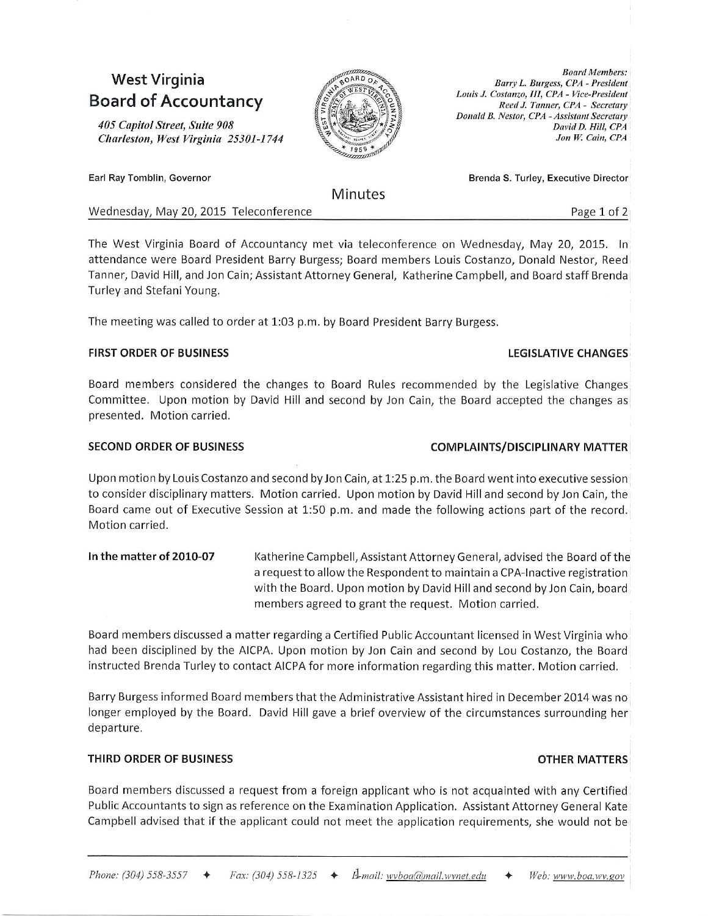# West Virginia **Board of Accountancy**

405 Capitol Street, Suite 908 Charleston, West Virginia 25301-1744



**Minutes** 

Brenda S. Turley, Executive Director

LEGISLATIVE CHANGES

Donald B. Nestor, CPA - Assistant Secretary

Barry L. Burgess, CPA - President Louis J. Costanzo, III, CPA - Vice-President

Reed J. Tanner, CPA - Secretary

Wednesday, May 20, 2015 Teleconference **Page 1 of 2** and 2 and 2 and 2 and 2 and 2 and 2 and 2 and 2 and 2 and 2 and 2 and 2 and 2 and 2 and 2 and 2 and 2 and 2 and 2 and 2 and 2 and 2 and 2 and 2 and 2 and 2 and 2 and 2 a

**Board Members:** 

David D. Hill, CPA Jon W. Cain, CPA

The West Virginia Board of Accountancy met via teleconference on Wednesday, May 20, 2015. In attendance were Board President Barry Burgess; Board members Louis Costanzo, Donald Nestor, Reed Tanner, David Hill, and Jon Cainj Assistant Attorney General, Katherine Campbell, and Board staff Brenda Turley and Stefani Young.

The meeting was called to order at 1:03 p.m. by Board President Barry Burgess.

#### FIRST ORDER OF BUSINESS

### Board members considered the changes to Board Rules recommended by the Legislative Changes Committee. Upon motion by David Hill and second by Jon Cain, the Board accepted the changes as presented. Motion carried.

### SECOND ORDER OF BUSINESS COMPLAINTS/DISCIPLINARY MATTER

Upon motion by Louis Costanzo and second byJon Cain, at 1:25 p.m. the Board went into executive session to consider disciplinary matters. Motion carried. Upon motion by David Hill and second by Jon Cain, the Board came out of Executive Session at 1:50 p.m. and made the following actions part of the record. Motion carried.

In the matter of 2010-07 Katherine Campbell, Assistant Attorney General, advised the Board of the a request to allow the Respondent to maintain a CPA-Inactive registration with the Board. Upon motion by David Hilland second byJon Cain, board members agreed to grant the request. Motion carried.

Board members discussed a matter regarding a certified Public Accouniant licensed in West Virginia who had been disciplined by the AICPA. Upon motion by Jon Cain and second by Lou Costanzo, the Board instructed Brenda Turley to contact AICPA for more information regarding this matter. Motion carried.

Barry Burgess informed Board members that the Administrative Assistant hired in December 2014 was no longer employed by the Board. David Hill gave a brief overview of the circumstances surrounding her departure.

#### THIRD ORDER OF BUSINESS OTHER MATTERS

Board members discussed a request from a foreign applicant who is not acquainted with any Certified Public Accountants to sign as reference on the Examination Application. Assistant Attorney ceneral Kate Campbell advised that if the applicant could not meet the application requirements, she would not be